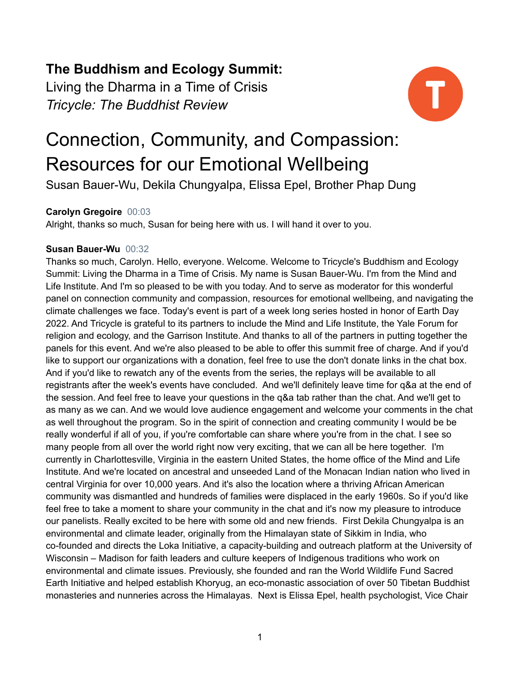# **The Buddhism and Ecology Summit:**

Living the Dharma in a Time of Crisis *Tricycle: The Buddhist Review*



# Connection, Community, and Compassion: Resources for our Emotional Wellbeing

Susan Bauer-Wu, Dekila Chungyalpa, Elissa Epel, Brother Phap Dung

# **Carolyn Gregoire** 00:03

Alright, thanks so much, Susan for being here with us. I will hand it over to you.

# **Susan Bauer-Wu** 00:32

Thanks so much, Carolyn. Hello, everyone. Welcome. Welcome to Tricycle's Buddhism and Ecology Summit: Living the Dharma in a Time of Crisis. My name is Susan Bauer-Wu. I'm from the Mind and Life Institute. And I'm so pleased to be with you today. And to serve as moderator for this wonderful panel on connection community and compassion, resources for emotional wellbeing, and navigating the climate challenges we face. Today's event is part of a week long series hosted in honor of Earth Day 2022. And Tricycle is grateful to its partners to include the Mind and Life Institute, the Yale Forum for religion and ecology, and the Garrison Institute. And thanks to all of the partners in putting together the panels for this event. And we're also pleased to be able to offer this summit free of charge. And if you'd like to support our organizations with a donation, feel free to use the don't donate links in the chat box. And if you'd like to rewatch any of the events from the series, the replays will be available to all registrants after the week's events have concluded. And we'll definitely leave time for q&a at the end of the session. And feel free to leave your questions in the q&a tab rather than the chat. And we'll get to as many as we can. And we would love audience engagement and welcome your comments in the chat as well throughout the program. So in the spirit of connection and creating community I would be be really wonderful if all of you, if you're comfortable can share where you're from in the chat. I see so many people from all over the world right now very exciting, that we can all be here together. I'm currently in Charlottesville, Virginia in the eastern United States, the home office of the Mind and Life Institute. And we're located on ancestral and unseeded Land of the Monacan Indian nation who lived in central Virginia for over 10,000 years. And it's also the location where a thriving African American community was dismantled and hundreds of families were displaced in the early 1960s. So if you'd like feel free to take a moment to share your community in the chat and it's now my pleasure to introduce our panelists. Really excited to be here with some old and new friends. First Dekila Chungyalpa is an environmental and climate leader, originally from the Himalayan state of Sikkim in India, who co-founded and directs the Loka Initiative, a capacity-building and outreach platform at the University of Wisconsin – Madison for faith leaders and culture keepers of Indigenous traditions who work on environmental and climate issues. Previously, she founded and ran the World Wildlife Fund Sacred Earth Initiative and helped establish Khoryug, an eco-monastic association of over 50 Tibetan Buddhist monasteries and nunneries across the Himalayas. Next is Elissa Epel, health psychologist, Vice Chair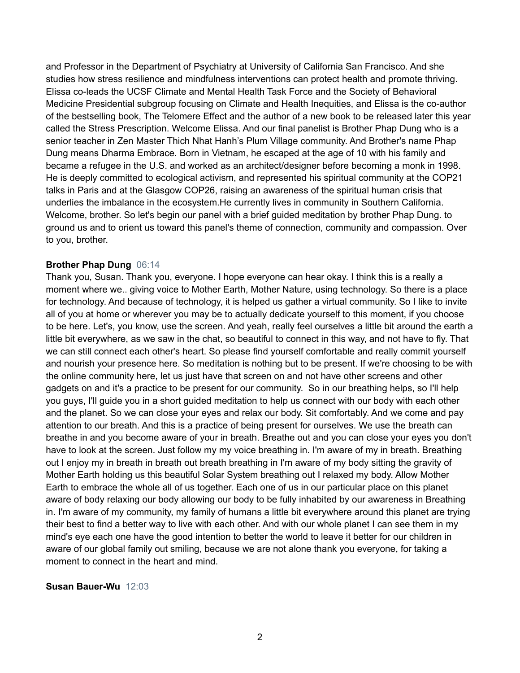and Professor in the Department of Psychiatry at University of California San Francisco. And she studies how stress resilience and mindfulness interventions can protect health and promote thriving. Elissa co-leads the UCSF Climate and Mental Health Task Force and the Society of Behavioral Medicine Presidential subgroup focusing on Climate and Health Inequities, and Elissa is the co-author of the bestselling book, The Telomere Effect and the author of a new book to be released later this year called the Stress Prescription. Welcome Elissa. And our final panelist is Brother Phap Dung who is a senior teacher in Zen Master Thich Nhat Hanh's Plum Village community. And Brother's name Phap Dung means Dharma Embrace. Born in Vietnam, he escaped at the age of 10 with his family and became a refugee in the U.S. and worked as an architect/designer before becoming a monk in 1998. He is deeply committed to ecological activism, and represented his spiritual community at the COP21 talks in Paris and at the Glasgow COP26, raising an awareness of the spiritual human crisis that underlies the imbalance in the ecosystem.He currently lives in community in Southern California. Welcome, brother. So let's begin our panel with a brief guided meditation by brother Phap Dung. to ground us and to orient us toward this panel's theme of connection, community and compassion. Over to you, brother.

### **Brother Phap Dung** 06:14

Thank you, Susan. Thank you, everyone. I hope everyone can hear okay. I think this is a really a moment where we.. giving voice to Mother Earth, Mother Nature, using technology. So there is a place for technology. And because of technology, it is helped us gather a virtual community. So I like to invite all of you at home or wherever you may be to actually dedicate yourself to this moment, if you choose to be here. Let's, you know, use the screen. And yeah, really feel ourselves a little bit around the earth a little bit everywhere, as we saw in the chat, so beautiful to connect in this way, and not have to fly. That we can still connect each other's heart. So please find yourself comfortable and really commit yourself and nourish your presence here. So meditation is nothing but to be present. If we're choosing to be with the online community here, let us just have that screen on and not have other screens and other gadgets on and it's a practice to be present for our community. So in our breathing helps, so I'll help you guys, I'll guide you in a short guided meditation to help us connect with our body with each other and the planet. So we can close your eyes and relax our body. Sit comfortably. And we come and pay attention to our breath. And this is a practice of being present for ourselves. We use the breath can breathe in and you become aware of your in breath. Breathe out and you can close your eyes you don't have to look at the screen. Just follow my my voice breathing in. I'm aware of my in breath. Breathing out I enjoy my in breath in breath out breath breathing in I'm aware of my body sitting the gravity of Mother Earth holding us this beautiful Solar System breathing out I relaxed my body. Allow Mother Earth to embrace the whole all of us together. Each one of us in our particular place on this planet aware of body relaxing our body allowing our body to be fully inhabited by our awareness in Breathing in. I'm aware of my community, my family of humans a little bit everywhere around this planet are trying their best to find a better way to live with each other. And with our whole planet I can see them in my mind's eye each one have the good intention to better the world to leave it better for our children in aware of our global family out smiling, because we are not alone thank you everyone, for taking a moment to connect in the heart and mind.

#### **Susan Bauer-Wu** 12:03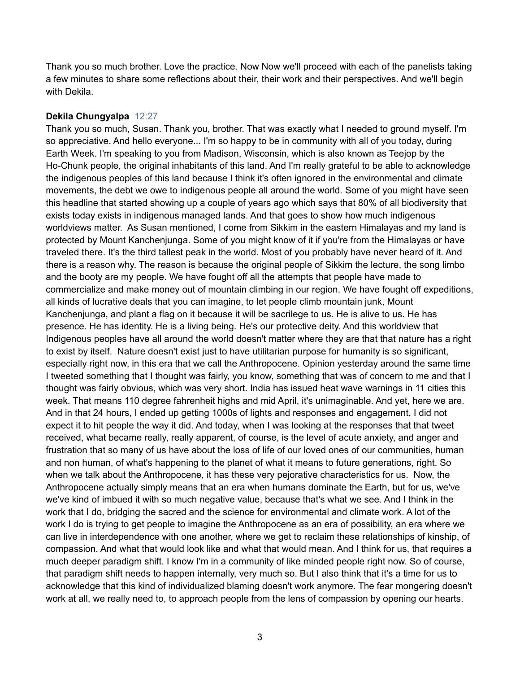Thank you so much brother. Love the practice. Now Now we'll proceed with each of the panelists taking a few minutes to share some reflections about their, their work and their perspectives. And we'll begin with Dekila.

#### **Dekila Chungyalpa** 12:27

Thank you so much, Susan. Thank you, brother. That was exactly what I needed to ground myself. I'm so appreciative. And hello everyone... I'm so happy to be in community with all of you today, during Earth Week. I'm speaking to you from Madison, Wisconsin, which is also known as Teejop by the Ho-Chunk people, the original inhabitants of this land. And I'm really grateful to be able to acknowledge the indigenous peoples of this land because I think it's often ignored in the environmental and climate movements, the debt we owe to indigenous people all around the world. Some of you might have seen this headline that started showing up a couple of years ago which says that 80% of all biodiversity that exists today exists in indigenous managed lands. And that goes to show how much indigenous worldviews matter. As Susan mentioned, I come from Sikkim in the eastern Himalayas and my land is protected by Mount Kanchenjunga. Some of you might know of it if you're from the Himalayas or have traveled there. It's the third tallest peak in the world. Most of you probably have never heard of it. And there is a reason why. The reason is because the original people of Sikkim the lecture, the song limbo and the booty are my people. We have fought off all the attempts that people have made to commercialize and make money out of mountain climbing in our region. We have fought off expeditions, all kinds of lucrative deals that you can imagine, to let people climb mountain junk, Mount Kanchenjunga, and plant a flag on it because it will be sacrilege to us. He is alive to us. He has presence. He has identity. He is a living being. He's our protective deity. And this worldview that Indigenous peoples have all around the world doesn't matter where they are that that nature has a right to exist by itself. Nature doesn't exist just to have utilitarian purpose for humanity is so significant, especially right now, in this era that we call the Anthropocene. Opinion yesterday around the same time I tweeted something that I thought was fairly, you know, something that was of concern to me and that I thought was fairly obvious, which was very short. India has issued heat wave warnings in 11 cities this week. That means 110 degree fahrenheit highs and mid April, it's unimaginable. And yet, here we are. And in that 24 hours, I ended up getting 1000s of lights and responses and engagement, I did not expect it to hit people the way it did. And today, when I was looking at the responses that that tweet received, what became really, really apparent, of course, is the level of acute anxiety, and anger and frustration that so many of us have about the loss of life of our loved ones of our communities, human and non human, of what's happening to the planet of what it means to future generations, right. So when we talk about the Anthropocene, it has these very pejorative characteristics for us. Now, the Anthropocene actually simply means that an era when humans dominate the Earth, but for us, we've we've kind of imbued it with so much negative value, because that's what we see. And I think in the work that I do, bridging the sacred and the science for environmental and climate work. A lot of the work I do is trying to get people to imagine the Anthropocene as an era of possibility, an era where we can live in interdependence with one another, where we get to reclaim these relationships of kinship, of compassion. And what that would look like and what that would mean. And I think for us, that requires a much deeper paradigm shift. I know I'm in a community of like minded people right now. So of course, that paradigm shift needs to happen internally, very much so. But I also think that it's a time for us to acknowledge that this kind of individualized blaming doesn't work anymore. The fear mongering doesn't work at all, we really need to, to approach people from the lens of compassion by opening our hearts.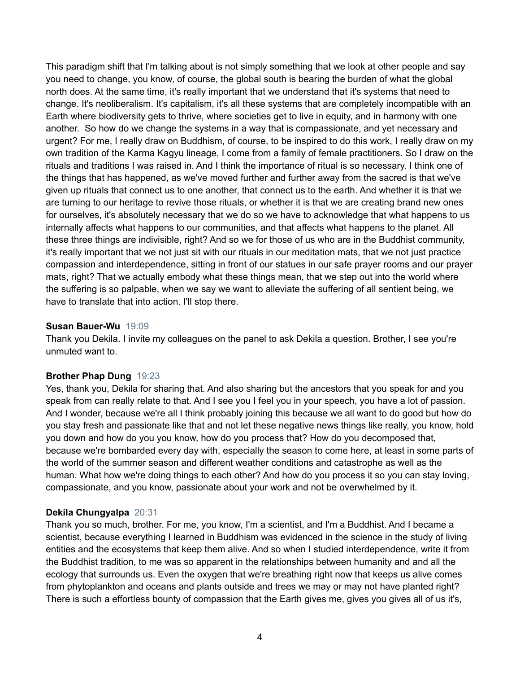This paradigm shift that I'm talking about is not simply something that we look at other people and say you need to change, you know, of course, the global south is bearing the burden of what the global north does. At the same time, it's really important that we understand that it's systems that need to change. It's neoliberalism. It's capitalism, it's all these systems that are completely incompatible with an Earth where biodiversity gets to thrive, where societies get to live in equity, and in harmony with one another. So how do we change the systems in a way that is compassionate, and yet necessary and urgent? For me, I really draw on Buddhism, of course, to be inspired to do this work, I really draw on my own tradition of the Karma Kagyu lineage, I come from a family of female practitioners. So I draw on the rituals and traditions I was raised in. And I think the importance of ritual is so necessary. I think one of the things that has happened, as we've moved further and further away from the sacred is that we've given up rituals that connect us to one another, that connect us to the earth. And whether it is that we are turning to our heritage to revive those rituals, or whether it is that we are creating brand new ones for ourselves, it's absolutely necessary that we do so we have to acknowledge that what happens to us internally affects what happens to our communities, and that affects what happens to the planet. All these three things are indivisible, right? And so we for those of us who are in the Buddhist community, it's really important that we not just sit with our rituals in our meditation mats, that we not just practice compassion and interdependence, sitting in front of our statues in our safe prayer rooms and our prayer mats, right? That we actually embody what these things mean, that we step out into the world where the suffering is so palpable, when we say we want to alleviate the suffering of all sentient being, we have to translate that into action. I'll stop there.

#### **Susan Bauer-Wu** 19:09

Thank you Dekila. I invite my colleagues on the panel to ask Dekila a question. Brother, I see you're unmuted want to.

#### **Brother Phap Dung** 19:23

Yes, thank you, Dekila for sharing that. And also sharing but the ancestors that you speak for and you speak from can really relate to that. And I see you I feel you in your speech, you have a lot of passion. And I wonder, because we're all I think probably joining this because we all want to do good but how do you stay fresh and passionate like that and not let these negative news things like really, you know, hold you down and how do you you know, how do you process that? How do you decomposed that, because we're bombarded every day with, especially the season to come here, at least in some parts of the world of the summer season and different weather conditions and catastrophe as well as the human. What how we're doing things to each other? And how do you process it so you can stay loving, compassionate, and you know, passionate about your work and not be overwhelmed by it.

#### **Dekila Chungyalpa** 20:31

Thank you so much, brother. For me, you know, I'm a scientist, and I'm a Buddhist. And I became a scientist, because everything I learned in Buddhism was evidenced in the science in the study of living entities and the ecosystems that keep them alive. And so when I studied interdependence, write it from the Buddhist tradition, to me was so apparent in the relationships between humanity and and all the ecology that surrounds us. Even the oxygen that we're breathing right now that keeps us alive comes from phytoplankton and oceans and plants outside and trees we may or may not have planted right? There is such a effortless bounty of compassion that the Earth gives me, gives you gives all of us it's,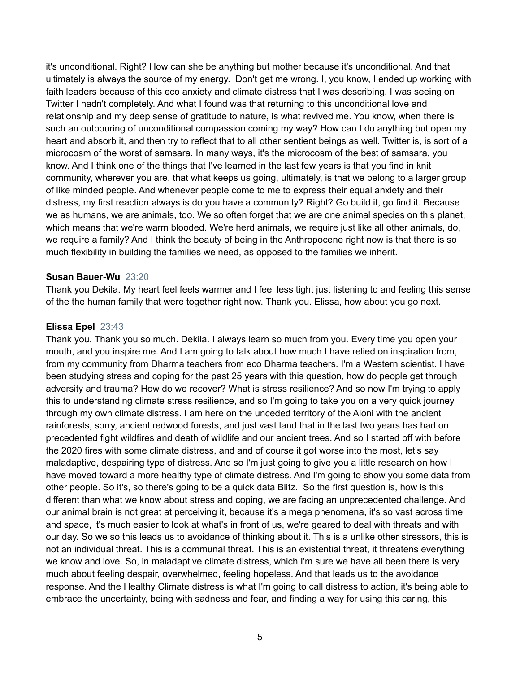it's unconditional. Right? How can she be anything but mother because it's unconditional. And that ultimately is always the source of my energy. Don't get me wrong. I, you know, I ended up working with faith leaders because of this eco anxiety and climate distress that I was describing. I was seeing on Twitter I hadn't completely. And what I found was that returning to this unconditional love and relationship and my deep sense of gratitude to nature, is what revived me. You know, when there is such an outpouring of unconditional compassion coming my way? How can I do anything but open my heart and absorb it, and then try to reflect that to all other sentient beings as well. Twitter is, is sort of a microcosm of the worst of samsara. In many ways, it's the microcosm of the best of samsara, you know. And I think one of the things that I've learned in the last few years is that you find in knit community, wherever you are, that what keeps us going, ultimately, is that we belong to a larger group of like minded people. And whenever people come to me to express their equal anxiety and their distress, my first reaction always is do you have a community? Right? Go build it, go find it. Because we as humans, we are animals, too. We so often forget that we are one animal species on this planet, which means that we're warm blooded. We're herd animals, we require just like all other animals, do, we require a family? And I think the beauty of being in the Anthropocene right now is that there is so much flexibility in building the families we need, as opposed to the families we inherit.

#### **Susan Bauer-Wu** 23:20

Thank you Dekila. My heart feel feels warmer and I feel less tight just listening to and feeling this sense of the the human family that were together right now. Thank you. Elissa, how about you go next.

#### **Elissa Epel** 23:43

Thank you. Thank you so much. Dekila. I always learn so much from you. Every time you open your mouth, and you inspire me. And I am going to talk about how much I have relied on inspiration from, from my community from Dharma teachers from eco Dharma teachers. I'm a Western scientist. I have been studying stress and coping for the past 25 years with this question, how do people get through adversity and trauma? How do we recover? What is stress resilience? And so now I'm trying to apply this to understanding climate stress resilience, and so I'm going to take you on a very quick journey through my own climate distress. I am here on the unceded territory of the Aloni with the ancient rainforests, sorry, ancient redwood forests, and just vast land that in the last two years has had on precedented fight wildfires and death of wildlife and our ancient trees. And so I started off with before the 2020 fires with some climate distress, and and of course it got worse into the most, let's say maladaptive, despairing type of distress. And so I'm just going to give you a little research on how I have moved toward a more healthy type of climate distress. And I'm going to show you some data from other people. So it's, so there's going to be a quick data Blitz. So the first question is, how is this different than what we know about stress and coping, we are facing an unprecedented challenge. And our animal brain is not great at perceiving it, because it's a mega phenomena, it's so vast across time and space, it's much easier to look at what's in front of us, we're geared to deal with threats and with our day. So we so this leads us to avoidance of thinking about it. This is a unlike other stressors, this is not an individual threat. This is a communal threat. This is an existential threat, it threatens everything we know and love. So, in maladaptive climate distress, which I'm sure we have all been there is very much about feeling despair, overwhelmed, feeling hopeless. And that leads us to the avoidance response. And the Healthy Climate distress is what I'm going to call distress to action, it's being able to embrace the uncertainty, being with sadness and fear, and finding a way for using this caring, this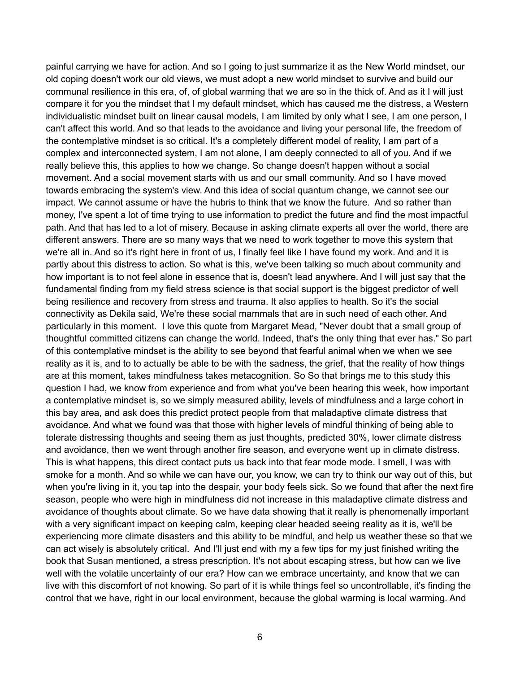painful carrying we have for action. And so I going to just summarize it as the New World mindset, our old coping doesn't work our old views, we must adopt a new world mindset to survive and build our communal resilience in this era, of, of global warming that we are so in the thick of. And as it I will just compare it for you the mindset that I my default mindset, which has caused me the distress, a Western individualistic mindset built on linear causal models, I am limited by only what I see, I am one person, I can't affect this world. And so that leads to the avoidance and living your personal life, the freedom of the contemplative mindset is so critical. It's a completely different model of reality, I am part of a complex and interconnected system, I am not alone, I am deeply connected to all of you. And if we really believe this, this applies to how we change. So change doesn't happen without a social movement. And a social movement starts with us and our small community. And so I have moved towards embracing the system's view. And this idea of social quantum change, we cannot see our impact. We cannot assume or have the hubris to think that we know the future. And so rather than money, I've spent a lot of time trying to use information to predict the future and find the most impactful path. And that has led to a lot of misery. Because in asking climate experts all over the world, there are different answers. There are so many ways that we need to work together to move this system that we're all in. And so it's right here in front of us, I finally feel like I have found my work. And and it is partly about this distress to action. So what is this, we've been talking so much about community and how important is to not feel alone in essence that is, doesn't lead anywhere. And I will just say that the fundamental finding from my field stress science is that social support is the biggest predictor of well being resilience and recovery from stress and trauma. It also applies to health. So it's the social connectivity as Dekila said, We're these social mammals that are in such need of each other. And particularly in this moment. I love this quote from Margaret Mead, "Never doubt that a small group of thoughtful committed citizens can change the world. Indeed, that's the only thing that ever has." So part of this contemplative mindset is the ability to see beyond that fearful animal when we when we see reality as it is, and to to actually be able to be with the sadness, the grief, that the reality of how things are at this moment, takes mindfulness takes metacognition. So So that brings me to this study this question I had, we know from experience and from what you've been hearing this week, how important a contemplative mindset is, so we simply measured ability, levels of mindfulness and a large cohort in this bay area, and ask does this predict protect people from that maladaptive climate distress that avoidance. And what we found was that those with higher levels of mindful thinking of being able to tolerate distressing thoughts and seeing them as just thoughts, predicted 30%, lower climate distress and avoidance, then we went through another fire season, and everyone went up in climate distress. This is what happens, this direct contact puts us back into that fear mode mode. I smell, I was with smoke for a month. And so while we can have our, you know, we can try to think our way out of this, but when you're living in it, you tap into the despair, your body feels sick. So we found that after the next fire season, people who were high in mindfulness did not increase in this maladaptive climate distress and avoidance of thoughts about climate. So we have data showing that it really is phenomenally important with a very significant impact on keeping calm, keeping clear headed seeing reality as it is, we'll be experiencing more climate disasters and this ability to be mindful, and help us weather these so that we can act wisely is absolutely critical. And I'll just end with my a few tips for my just finished writing the book that Susan mentioned, a stress prescription. It's not about escaping stress, but how can we live well with the volatile uncertainty of our era? How can we embrace uncertainty, and know that we can live with this discomfort of not knowing. So part of it is while things feel so uncontrollable, it's finding the control that we have, right in our local environment, because the global warming is local warming. And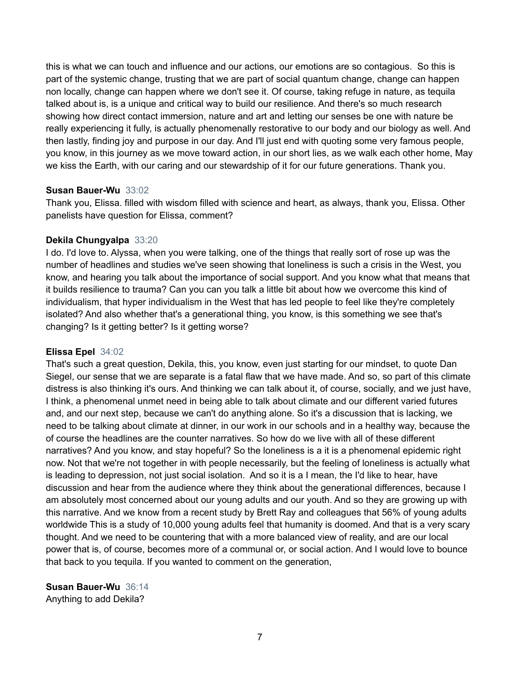this is what we can touch and influence and our actions, our emotions are so contagious. So this is part of the systemic change, trusting that we are part of social quantum change, change can happen non locally, change can happen where we don't see it. Of course, taking refuge in nature, as tequila talked about is, is a unique and critical way to build our resilience. And there's so much research showing how direct contact immersion, nature and art and letting our senses be one with nature be really experiencing it fully, is actually phenomenally restorative to our body and our biology as well. And then lastly, finding joy and purpose in our day. And I'll just end with quoting some very famous people, you know, in this journey as we move toward action, in our short lies, as we walk each other home, May we kiss the Earth, with our caring and our stewardship of it for our future generations. Thank you.

#### **Susan Bauer-Wu** 33:02

Thank you, Elissa. filled with wisdom filled with science and heart, as always, thank you, Elissa. Other panelists have question for Elissa, comment?

#### **Dekila Chungyalpa** 33:20

I do. I'd love to. Alyssa, when you were talking, one of the things that really sort of rose up was the number of headlines and studies we've seen showing that loneliness is such a crisis in the West, you know, and hearing you talk about the importance of social support. And you know what that means that it builds resilience to trauma? Can you can you talk a little bit about how we overcome this kind of individualism, that hyper individualism in the West that has led people to feel like they're completely isolated? And also whether that's a generational thing, you know, is this something we see that's changing? Is it getting better? Is it getting worse?

#### **Elissa Epel** 34:02

That's such a great question, Dekila, this, you know, even just starting for our mindset, to quote Dan Siegel, our sense that we are separate is a fatal flaw that we have made. And so, so part of this climate distress is also thinking it's ours. And thinking we can talk about it, of course, socially, and we just have, I think, a phenomenal unmet need in being able to talk about climate and our different varied futures and, and our next step, because we can't do anything alone. So it's a discussion that is lacking, we need to be talking about climate at dinner, in our work in our schools and in a healthy way, because the of course the headlines are the counter narratives. So how do we live with all of these different narratives? And you know, and stay hopeful? So the loneliness is a it is a phenomenal epidemic right now. Not that we're not together in with people necessarily, but the feeling of loneliness is actually what is leading to depression, not just social isolation. And so it is a I mean, the I'd like to hear, have discussion and hear from the audience where they think about the generational differences, because I am absolutely most concerned about our young adults and our youth. And so they are growing up with this narrative. And we know from a recent study by Brett Ray and colleagues that 56% of young adults worldwide This is a study of 10,000 young adults feel that humanity is doomed. And that is a very scary thought. And we need to be countering that with a more balanced view of reality, and are our local power that is, of course, becomes more of a communal or, or social action. And I would love to bounce that back to you tequila. If you wanted to comment on the generation,

**Susan Bauer-Wu** 36:14 Anything to add Dekila?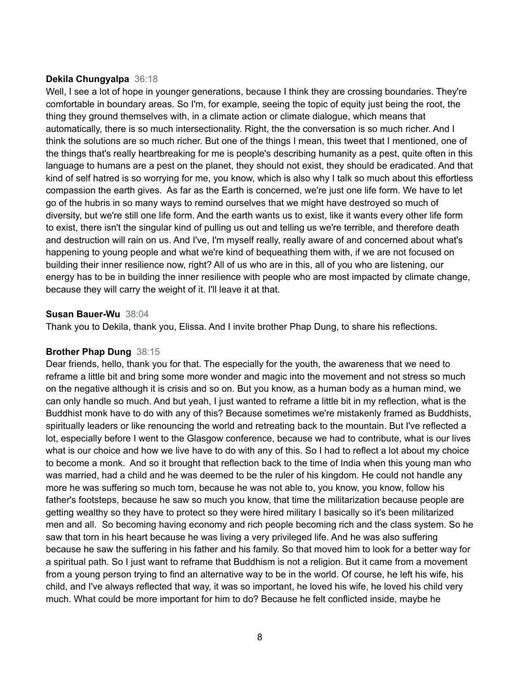#### **Dekila Chungyalpa** 36:18

Well, I see a lot of hope in younger generations, because I think they are crossing boundaries. They're comfortable in boundary areas. So I'm, for example, seeing the topic of equity just being the root, the thing they ground themselves with, in a climate action or climate dialogue, which means that automatically, there is so much intersectionality. Right, the the conversation is so much richer. And I think the solutions are so much richer. But one of the things I mean, this tweet that I mentioned, one of the things that's really heartbreaking for me is people's describing humanity as a pest, quite often in this language to humans are a pest on the planet, they should not exist, they should be eradicated. And that kind of self hatred is so worrying for me, you know, which is also why I talk so much about this effortless compassion the earth gives. As far as the Earth is concerned, we're just one life form. We have to let go of the hubris in so many ways to remind ourselves that we might have destroyed so much of diversity, but we're still one life form. And the earth wants us to exist, like it wants every other life form to exist, there isn't the singular kind of pulling us out and telling us we're terrible, and therefore death and destruction will rain on us. And I've, I'm myself really, really aware of and concerned about what's happening to young people and what we're kind of bequeathing them with, if we are not focused on building their inner resilience now, right? All of us who are in this, all of you who are listening, our energy has to be in building the inner resilience with people who are most impacted by climate change, because they will carry the weight of it. I'll leave it at that.

#### **Susan Bauer-Wu** 38:04

Thank you to Dekila, thank you, Elissa. And I invite brother Phap Dung, to share his reflections.

#### **Brother Phap Dung** 38:15

Dear friends, hello, thank you for that. The especially for the youth, the awareness that we need to reframe a little bit and bring some more wonder and magic into the movement and not stress so much on the negative although it is crisis and so on. But you know, as a human body as a human mind, we can only handle so much. And but yeah, I just wanted to reframe a little bit in my reflection, what is the Buddhist monk have to do with any of this? Because sometimes we're mistakenly framed as Buddhists, spiritually leaders or like renouncing the world and retreating back to the mountain. But I've reflected a lot, especially before I went to the Glasgow conference, because we had to contribute, what is our lives what is our choice and how we live have to do with any of this. So I had to reflect a lot about my choice to become a monk. And so it brought that reflection back to the time of India when this young man who was married, had a child and he was deemed to be the ruler of his kingdom. He could not handle any more he was suffering so much torn, because he was not able to, you know, you know, follow his father's footsteps, because he saw so much you know, that time the militarization because people are getting wealthy so they have to protect so they were hired military I basically so it's been militarized men and all. So becoming having economy and rich people becoming rich and the class system. So he saw that torn in his heart because he was living a very privileged life. And he was also suffering because he saw the suffering in his father and his family. So that moved him to look for a better way for a spiritual path. So I just want to reframe that Buddhism is not a religion. But it came from a movement from a young person trying to find an alternative way to be in the world. Of course, he left his wife, his child, and I've always reflected that way, it was so important, he loved his wife, he loved his child very much. What could be more important for him to do? Because he felt conflicted inside, maybe he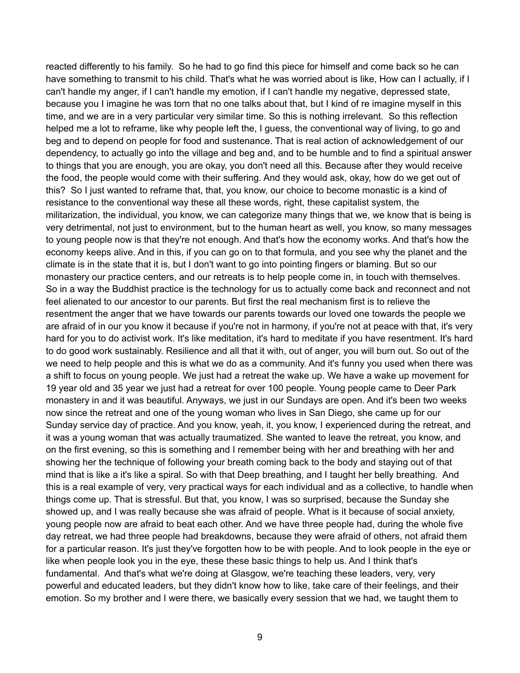reacted differently to his family. So he had to go find this piece for himself and come back so he can have something to transmit to his child. That's what he was worried about is like, How can I actually, if I can't handle my anger, if I can't handle my emotion, if I can't handle my negative, depressed state, because you I imagine he was torn that no one talks about that, but I kind of re imagine myself in this time, and we are in a very particular very similar time. So this is nothing irrelevant. So this reflection helped me a lot to reframe, like why people left the, I guess, the conventional way of living, to go and beg and to depend on people for food and sustenance. That is real action of acknowledgement of our dependency, to actually go into the village and beg and, and to be humble and to find a spiritual answer to things that you are enough, you are okay, you don't need all this. Because after they would receive the food, the people would come with their suffering. And they would ask, okay, how do we get out of this? So I just wanted to reframe that, that, you know, our choice to become monastic is a kind of resistance to the conventional way these all these words, right, these capitalist system, the militarization, the individual, you know, we can categorize many things that we, we know that is being is very detrimental, not just to environment, but to the human heart as well, you know, so many messages to young people now is that they're not enough. And that's how the economy works. And that's how the economy keeps alive. And in this, if you can go on to that formula, and you see why the planet and the climate is in the state that it is, but I don't want to go into pointing fingers or blaming. But so our monastery our practice centers, and our retreats is to help people come in, in touch with themselves. So in a way the Buddhist practice is the technology for us to actually come back and reconnect and not feel alienated to our ancestor to our parents. But first the real mechanism first is to relieve the resentment the anger that we have towards our parents towards our loved one towards the people we are afraid of in our you know it because if you're not in harmony, if you're not at peace with that, it's very hard for you to do activist work. It's like meditation, it's hard to meditate if you have resentment. It's hard to do good work sustainably. Resilience and all that it with, out of anger, you will burn out. So out of the we need to help people and this is what we do as a community. And it's funny you used when there was a shift to focus on young people. We just had a retreat the wake up. We have a wake up movement for 19 year old and 35 year we just had a retreat for over 100 people. Young people came to Deer Park monastery in and it was beautiful. Anyways, we just in our Sundays are open. And it's been two weeks now since the retreat and one of the young woman who lives in San Diego, she came up for our Sunday service day of practice. And you know, yeah, it, you know, I experienced during the retreat, and it was a young woman that was actually traumatized. She wanted to leave the retreat, you know, and on the first evening, so this is something and I remember being with her and breathing with her and showing her the technique of following your breath coming back to the body and staying out of that mind that is like a it's like a spiral. So with that Deep breathing, and I taught her belly breathing. And this is a real example of very, very practical ways for each individual and as a collective, to handle when things come up. That is stressful. But that, you know, I was so surprised, because the Sunday she showed up, and I was really because she was afraid of people. What is it because of social anxiety, young people now are afraid to beat each other. And we have three people had, during the whole five day retreat, we had three people had breakdowns, because they were afraid of others, not afraid them for a particular reason. It's just they've forgotten how to be with people. And to look people in the eye or like when people look you in the eye, these these basic things to help us. And I think that's fundamental. And that's what we're doing at Glasgow, we're teaching these leaders, very, very powerful and educated leaders, but they didn't know how to like, take care of their feelings, and their emotion. So my brother and I were there, we basically every session that we had, we taught them to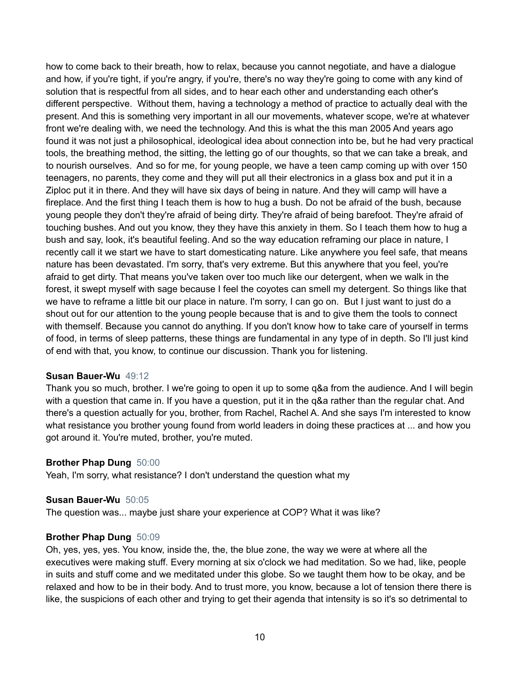how to come back to their breath, how to relax, because you cannot negotiate, and have a dialogue and how, if you're tight, if you're angry, if you're, there's no way they're going to come with any kind of solution that is respectful from all sides, and to hear each other and understanding each other's different perspective. Without them, having a technology a method of practice to actually deal with the present. And this is something very important in all our movements, whatever scope, we're at whatever front we're dealing with, we need the technology. And this is what the this man 2005 And years ago found it was not just a philosophical, ideological idea about connection into be, but he had very practical tools, the breathing method, the sitting, the letting go of our thoughts, so that we can take a break, and to nourish ourselves. And so for me, for young people, we have a teen camp coming up with over 150 teenagers, no parents, they come and they will put all their electronics in a glass box and put it in a Ziploc put it in there. And they will have six days of being in nature. And they will camp will have a fireplace. And the first thing I teach them is how to hug a bush. Do not be afraid of the bush, because young people they don't they're afraid of being dirty. They're afraid of being barefoot. They're afraid of touching bushes. And out you know, they they have this anxiety in them. So I teach them how to hug a bush and say, look, it's beautiful feeling. And so the way education reframing our place in nature, I recently call it we start we have to start domesticating nature. Like anywhere you feel safe, that means nature has been devastated. I'm sorry, that's very extreme. But this anywhere that you feel, you're afraid to get dirty. That means you've taken over too much like our detergent, when we walk in the forest, it swept myself with sage because I feel the coyotes can smell my detergent. So things like that we have to reframe a little bit our place in nature. I'm sorry, I can go on. But I just want to just do a shout out for our attention to the young people because that is and to give them the tools to connect with themself. Because you cannot do anything. If you don't know how to take care of yourself in terms of food, in terms of sleep patterns, these things are fundamental in any type of in depth. So I'll just kind of end with that, you know, to continue our discussion. Thank you for listening.

#### **Susan Bauer-Wu** 49:12

Thank you so much, brother. I we're going to open it up to some q&a from the audience. And I will begin with a question that came in. If you have a question, put it in the q&a rather than the regular chat. And there's a question actually for you, brother, from Rachel, Rachel A. And she says I'm interested to know what resistance you brother young found from world leaders in doing these practices at ... and how you got around it. You're muted, brother, you're muted.

#### **Brother Phap Dung** 50:00

Yeah, I'm sorry, what resistance? I don't understand the question what my

#### **Susan Bauer-Wu** 50:05

The question was... maybe just share your experience at COP? What it was like?

#### **Brother Phap Dung** 50:09

Oh, yes, yes, yes. You know, inside the, the, the blue zone, the way we were at where all the executives were making stuff. Every morning at six o'clock we had meditation. So we had, like, people in suits and stuff come and we meditated under this globe. So we taught them how to be okay, and be relaxed and how to be in their body. And to trust more, you know, because a lot of tension there there is like, the suspicions of each other and trying to get their agenda that intensity is so it's so detrimental to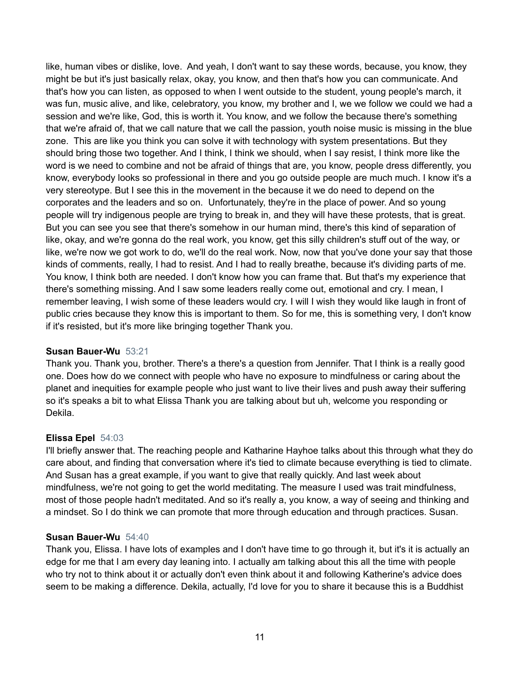like, human vibes or dislike, love. And yeah, I don't want to say these words, because, you know, they might be but it's just basically relax, okay, you know, and then that's how you can communicate. And that's how you can listen, as opposed to when I went outside to the student, young people's march, it was fun, music alive, and like, celebratory, you know, my brother and I, we we follow we could we had a session and we're like, God, this is worth it. You know, and we follow the because there's something that we're afraid of, that we call nature that we call the passion, youth noise music is missing in the blue zone. This are like you think you can solve it with technology with system presentations. But they should bring those two together. And I think, I think we should, when I say resist, I think more like the word is we need to combine and not be afraid of things that are, you know, people dress differently, you know, everybody looks so professional in there and you go outside people are much much. I know it's a very stereotype. But I see this in the movement in the because it we do need to depend on the corporates and the leaders and so on. Unfortunately, they're in the place of power. And so young people will try indigenous people are trying to break in, and they will have these protests, that is great. But you can see you see that there's somehow in our human mind, there's this kind of separation of like, okay, and we're gonna do the real work, you know, get this silly children's stuff out of the way, or like, we're now we got work to do, we'll do the real work. Now, now that you've done your say that those kinds of comments, really, I had to resist. And I had to really breathe, because it's dividing parts of me. You know, I think both are needed. I don't know how you can frame that. But that's my experience that there's something missing. And I saw some leaders really come out, emotional and cry. I mean, I remember leaving, I wish some of these leaders would cry. I will I wish they would like laugh in front of public cries because they know this is important to them. So for me, this is something very, I don't know if it's resisted, but it's more like bringing together Thank you.

#### **Susan Bauer-Wu** 53:21

Thank you. Thank you, brother. There's a there's a question from Jennifer. That I think is a really good one. Does how do we connect with people who have no exposure to mindfulness or caring about the planet and inequities for example people who just want to live their lives and push away their suffering so it's speaks a bit to what Elissa Thank you are talking about but uh, welcome you responding or Dekila.

#### **Elissa Epel** 54:03

I'll briefly answer that. The reaching people and Katharine Hayhoe talks about this through what they do care about, and finding that conversation where it's tied to climate because everything is tied to climate. And Susan has a great example, if you want to give that really quickly. And last week about mindfulness, we're not going to get the world meditating. The measure I used was trait mindfulness, most of those people hadn't meditated. And so it's really a, you know, a way of seeing and thinking and a mindset. So I do think we can promote that more through education and through practices. Susan.

#### **Susan Bauer-Wu** 54:40

Thank you, Elissa. I have lots of examples and I don't have time to go through it, but it's it is actually an edge for me that I am every day leaning into. I actually am talking about this all the time with people who try not to think about it or actually don't even think about it and following Katherine's advice does seem to be making a difference. Dekila, actually, I'd love for you to share it because this is a Buddhist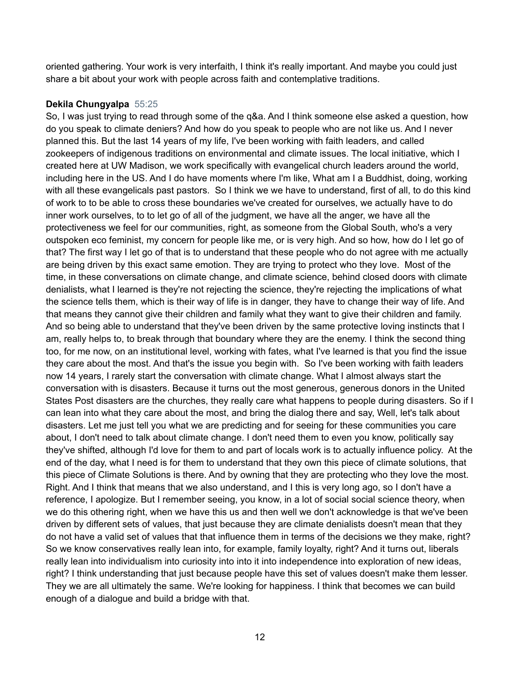oriented gathering. Your work is very interfaith, I think it's really important. And maybe you could just share a bit about your work with people across faith and contemplative traditions.

# **Dekila Chungyalpa** 55:25

So, I was just trying to read through some of the q&a. And I think someone else asked a question, how do you speak to climate deniers? And how do you speak to people who are not like us. And I never planned this. But the last 14 years of my life, I've been working with faith leaders, and called zookeepers of indigenous traditions on environmental and climate issues. The local initiative, which I created here at UW Madison, we work specifically with evangelical church leaders around the world, including here in the US. And I do have moments where I'm like, What am I a Buddhist, doing, working with all these evangelicals past pastors. So I think we we have to understand, first of all, to do this kind of work to to be able to cross these boundaries we've created for ourselves, we actually have to do inner work ourselves, to to let go of all of the judgment, we have all the anger, we have all the protectiveness we feel for our communities, right, as someone from the Global South, who's a very outspoken eco feminist, my concern for people like me, or is very high. And so how, how do I let go of that? The first way I let go of that is to understand that these people who do not agree with me actually are being driven by this exact same emotion. They are trying to protect who they love. Most of the time, in these conversations on climate change, and climate science, behind closed doors with climate denialists, what I learned is they're not rejecting the science, they're rejecting the implications of what the science tells them, which is their way of life is in danger, they have to change their way of life. And that means they cannot give their children and family what they want to give their children and family. And so being able to understand that they've been driven by the same protective loving instincts that I am, really helps to, to break through that boundary where they are the enemy. I think the second thing too, for me now, on an institutional level, working with fates, what I've learned is that you find the issue they care about the most. And that's the issue you begin with. So I've been working with faith leaders now 14 years, I rarely start the conversation with climate change. What I almost always start the conversation with is disasters. Because it turns out the most generous, generous donors in the United States Post disasters are the churches, they really care what happens to people during disasters. So if I can lean into what they care about the most, and bring the dialog there and say, Well, let's talk about disasters. Let me just tell you what we are predicting and for seeing for these communities you care about, I don't need to talk about climate change. I don't need them to even you know, politically say they've shifted, although I'd love for them to and part of locals work is to actually influence policy. At the end of the day, what I need is for them to understand that they own this piece of climate solutions, that this piece of Climate Solutions is there. And by owning that they are protecting who they love the most. Right. And I think that means that we also understand, and I this is very long ago, so I don't have a reference, I apologize. But I remember seeing, you know, in a lot of social social science theory, when we do this othering right, when we have this us and then well we don't acknowledge is that we've been driven by different sets of values, that just because they are climate denialists doesn't mean that they do not have a valid set of values that that influence them in terms of the decisions we they make, right? So we know conservatives really lean into, for example, family loyalty, right? And it turns out, liberals really lean into individualism into curiosity into into it into independence into exploration of new ideas, right? I think understanding that just because people have this set of values doesn't make them lesser. They we are all ultimately the same. We're looking for happiness. I think that becomes we can build enough of a dialogue and build a bridge with that.